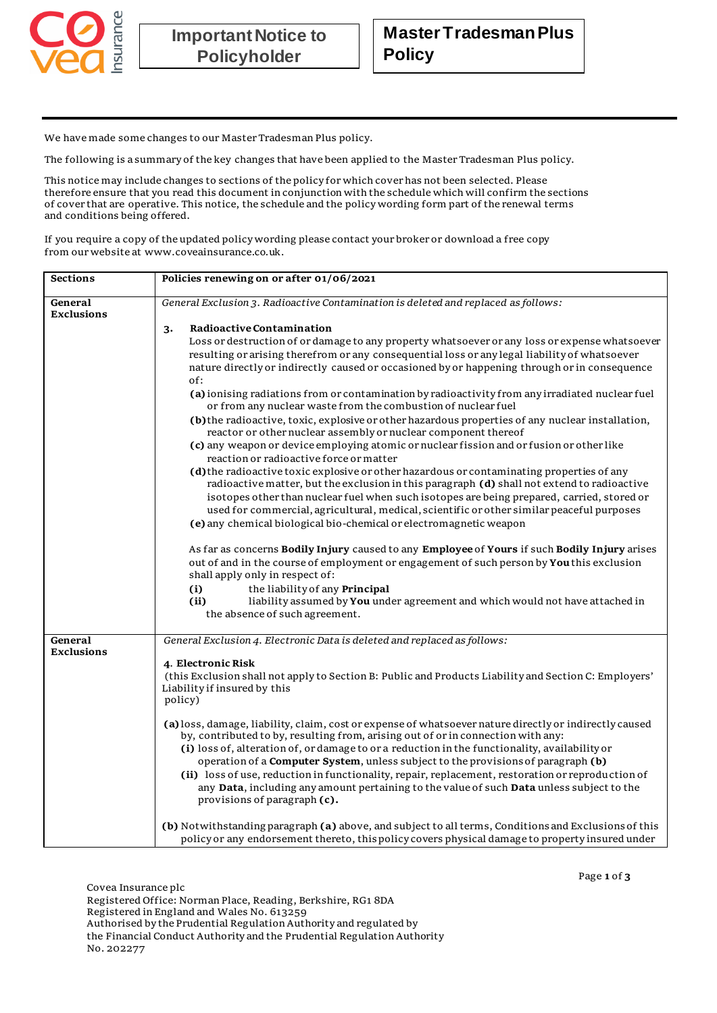

We have made some changes to our Master Tradesman Plus policy.

The following is a summary of the key changes that have been applied to the Master Tradesman Plus policy.

This notice may include changes to sections of the policy for which cover has not been selected. Please therefore ensure that you read this document in conjunction with the schedule which will confirm the sections of cover that are operative. This notice, the schedule and the policy wording form part of the renewal terms and conditions being offered.

If you require a copy of the updated policy wording please contact your broker or download a free copy from our website a[t www.coveainsurance.co.uk](http://www.coveainsurance.co.uk/).

| <b>Sections</b>              | Policies renewing on or after 01/06/2021                                                                                                                                                                                                                                                                                                                                                                                                                                                                                                                                                                                                                                                                                                                                                                                                                                                                                                                                                                                                                                                                                                                                                                                                                                                                                                                                                                                                                                                                                                                                                                                                                  |
|------------------------------|-----------------------------------------------------------------------------------------------------------------------------------------------------------------------------------------------------------------------------------------------------------------------------------------------------------------------------------------------------------------------------------------------------------------------------------------------------------------------------------------------------------------------------------------------------------------------------------------------------------------------------------------------------------------------------------------------------------------------------------------------------------------------------------------------------------------------------------------------------------------------------------------------------------------------------------------------------------------------------------------------------------------------------------------------------------------------------------------------------------------------------------------------------------------------------------------------------------------------------------------------------------------------------------------------------------------------------------------------------------------------------------------------------------------------------------------------------------------------------------------------------------------------------------------------------------------------------------------------------------------------------------------------------------|
| General<br><b>Exclusions</b> | General Exclusion 3. Radioactive Contamination is deleted and replaced as follows:                                                                                                                                                                                                                                                                                                                                                                                                                                                                                                                                                                                                                                                                                                                                                                                                                                                                                                                                                                                                                                                                                                                                                                                                                                                                                                                                                                                                                                                                                                                                                                        |
|                              | Radioactive Contamination<br>3.<br>Loss or destruction of or damage to any property whatsoever or any loss or expense whatsoever<br>resulting or arising therefrom or any consequential loss or any legal liability of whatsoever<br>nature directly or indirectly caused or occasioned by or happening through or in consequence<br>of:<br>(a) ionising radiations from or contamination by radioactivity from any irradiated nuclear fuel<br>or from any nuclear waste from the combustion of nuclear fuel<br>(b) the radioactive, toxic, explosive or other hazardous properties of any nuclear installation,<br>reactor or other nuclear assembly or nuclear component thereof<br>(c) any weapon or device employing atomic or nuclear fission and or fusion or other like<br>reaction or radioactive force or matter<br>(d) the radioactive toxic explosive or other hazardous or contaminating properties of any<br>radioactive matter, but the exclusion in this paragraph (d) shall not extend to radioactive<br>isotopes other than nuclear fuel when such isotopes are being prepared, carried, stored or<br>used for commercial, agricultural, medical, scientific or other similar peaceful purposes<br>(e) any chemical biological bio-chemical or electromagnetic weapon<br>As far as concerns Bodily Injury caused to any Employee of Yours if such Bodily Injury arises<br>out of and in the course of employment or engagement of such person by You this exclusion<br>shall apply only in respect of:<br>(i)<br>the liability of any Principal<br>(ii)<br>liability assumed by You under agreement and which would not have attached in |
|                              | the absence of such agreement.                                                                                                                                                                                                                                                                                                                                                                                                                                                                                                                                                                                                                                                                                                                                                                                                                                                                                                                                                                                                                                                                                                                                                                                                                                                                                                                                                                                                                                                                                                                                                                                                                            |
| General<br><b>Exclusions</b> | General Exclusion 4. Electronic Data is deleted and replaced as follows:<br>4. Electronic Risk<br>(this Exclusion shall not apply to Section B: Public and Products Liability and Section C: Employers'<br>Liability if insured by this<br>policy)<br>(a) loss, damage, liability, claim, cost or expense of whatsoever nature directly or indirectly caused<br>by, contributed to by, resulting from, arising out of or in connection with any:<br>(i) loss of, alteration of, or damage to or a reduction in the functionality, availability or<br>operation of a Computer System, unless subject to the provisions of paragraph (b)<br>(ii) loss of use, reduction in functionality, repair, replacement, restoration or reproduction of<br>any Data, including any amount pertaining to the value of such Data unless subject to the                                                                                                                                                                                                                                                                                                                                                                                                                                                                                                                                                                                                                                                                                                                                                                                                                  |
|                              | provisions of paragraph (c).<br>(b) Notwithstanding paragraph (a) above, and subject to all terms, Conditions and Exclusions of this<br>policy or any endorsement thereto, this policy covers physical damage to property insured under                                                                                                                                                                                                                                                                                                                                                                                                                                                                                                                                                                                                                                                                                                                                                                                                                                                                                                                                                                                                                                                                                                                                                                                                                                                                                                                                                                                                                   |

Covea Insurance plc Registered Office: Norman Place, Reading, Berkshire, RG1 8DA Registered in England and Wales No. 613259 Authorised by the Prudential Regulation Authority and regulated by the Financial Conduct Authority and the Prudential Regulation Authority No. 202277

Page **1** of **3**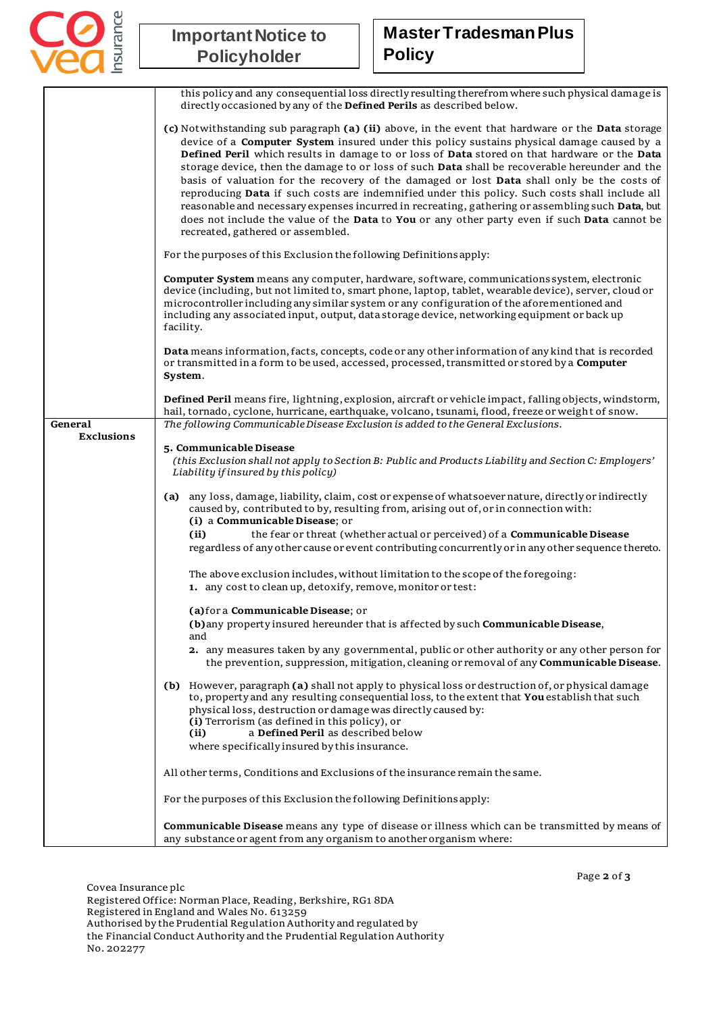

## **Important Notice to Policyholder**

## **Master Tradesman Plus Policy**

|                   | this policy and any consequential loss directly resulting therefrom where such physical damage is<br>directly occasioned by any of the Defined Perils as described below.                                                                                                                                                                                                                                                                                                                                                                                                                                                                                                                                                                                                                                                                 |
|-------------------|-------------------------------------------------------------------------------------------------------------------------------------------------------------------------------------------------------------------------------------------------------------------------------------------------------------------------------------------------------------------------------------------------------------------------------------------------------------------------------------------------------------------------------------------------------------------------------------------------------------------------------------------------------------------------------------------------------------------------------------------------------------------------------------------------------------------------------------------|
|                   | (c) Notwithstanding sub paragraph (a) (ii) above, in the event that hardware or the Data storage<br>device of a Computer System insured under this policy sustains physical damage caused by a<br>Defined Peril which results in damage to or loss of Data stored on that hardware or the Data<br>storage device, then the damage to or loss of such Data shall be recoverable hereunder and the<br>basis of valuation for the recovery of the damaged or lost Data shall only be the costs of<br>reproducing Data if such costs are indemnified under this policy. Such costs shall include all<br>reasonable and necessary expenses incurred in recreating, gathering or assembling such Data, but<br>does not include the value of the Data to You or any other party even if such Data cannot be<br>recreated, gathered or assembled. |
|                   | For the purposes of this Exclusion the following Definitions apply:                                                                                                                                                                                                                                                                                                                                                                                                                                                                                                                                                                                                                                                                                                                                                                       |
|                   | Computer System means any computer, hardware, software, communications system, electronic<br>device (including, but not limited to, smart phone, laptop, tablet, wearable device), server, cloud or<br>microcontroller including any similar system or any configuration of the aforementioned and<br>including any associated input, output, data storage device, networking equipment or back up<br>facility.                                                                                                                                                                                                                                                                                                                                                                                                                           |
|                   | Data means information, facts, concepts, code or any other information of any kind that is recorded<br>or transmitted in a form to be used, accessed, processed, transmitted or stored by a Computer<br>System.                                                                                                                                                                                                                                                                                                                                                                                                                                                                                                                                                                                                                           |
| General           | Defined Peril means fire, lightning, explosion, aircraft or vehicle impact, falling objects, windstorm,<br>hail, tornado, cyclone, hurricane, earthquake, volcano, tsunami, flood, freeze or weight of snow.<br>The following Communicable Disease Exclusion is added to the General Exclusions.                                                                                                                                                                                                                                                                                                                                                                                                                                                                                                                                          |
| <b>Exclusions</b> |                                                                                                                                                                                                                                                                                                                                                                                                                                                                                                                                                                                                                                                                                                                                                                                                                                           |
|                   | 5. Communicable Disease<br>(this Exclusion shall not apply to Section B: Public and Products Liability and Section C: Employers'<br>Liability if insured by this policy)                                                                                                                                                                                                                                                                                                                                                                                                                                                                                                                                                                                                                                                                  |
|                   | any loss, damage, liability, claim, cost or expense of whatsoever nature, directly or indirectly<br>(a)<br>caused by, contributed to by, resulting from, arising out of, or in connection with:<br>(i) a Communicable Disease; or                                                                                                                                                                                                                                                                                                                                                                                                                                                                                                                                                                                                         |
|                   | (ii)<br>the fear or threat (whether actual or perceived) of a Communicable Disease<br>regardless of any other cause or event contributing concurrently or in any other sequence thereto.                                                                                                                                                                                                                                                                                                                                                                                                                                                                                                                                                                                                                                                  |
|                   | The above exclusion includes, without limitation to the scope of the foregoing:<br>1. any cost to clean up, detoxify, remove, monitor or test:                                                                                                                                                                                                                                                                                                                                                                                                                                                                                                                                                                                                                                                                                            |
|                   | (a) for a Communicable Disease; or                                                                                                                                                                                                                                                                                                                                                                                                                                                                                                                                                                                                                                                                                                                                                                                                        |
|                   | (b) any property insured hereunder that is affected by such Communicable Disease,<br>and                                                                                                                                                                                                                                                                                                                                                                                                                                                                                                                                                                                                                                                                                                                                                  |
|                   | 2. any measures taken by any governmental, public or other authority or any other person for<br>the prevention, suppression, mitigation, cleaning or removal of any <b>Communicable Disease</b> .                                                                                                                                                                                                                                                                                                                                                                                                                                                                                                                                                                                                                                         |
|                   | (b) However, paragraph (a) shall not apply to physical loss or destruction of, or physical damage<br>to, property and any resulting consequential loss, to the extent that You establish that such<br>physical loss, destruction or damage was directly caused by:<br>(i) Terrorism (as defined in this policy), or<br>a Defined Peril as described below<br>(ii)<br>where specifically insured by this insurance.                                                                                                                                                                                                                                                                                                                                                                                                                        |
|                   |                                                                                                                                                                                                                                                                                                                                                                                                                                                                                                                                                                                                                                                                                                                                                                                                                                           |
|                   | All other terms, Conditions and Exclusions of the insurance remain the same.                                                                                                                                                                                                                                                                                                                                                                                                                                                                                                                                                                                                                                                                                                                                                              |
|                   | For the purposes of this Exclusion the following Definitions apply:                                                                                                                                                                                                                                                                                                                                                                                                                                                                                                                                                                                                                                                                                                                                                                       |
|                   | Communicable Disease means any type of disease or illness which can be transmitted by means of<br>any substance or agent from any organism to another organism where:                                                                                                                                                                                                                                                                                                                                                                                                                                                                                                                                                                                                                                                                     |

Page **2** of **3**